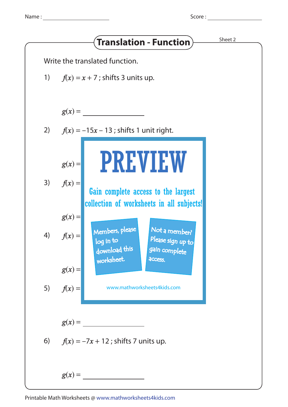